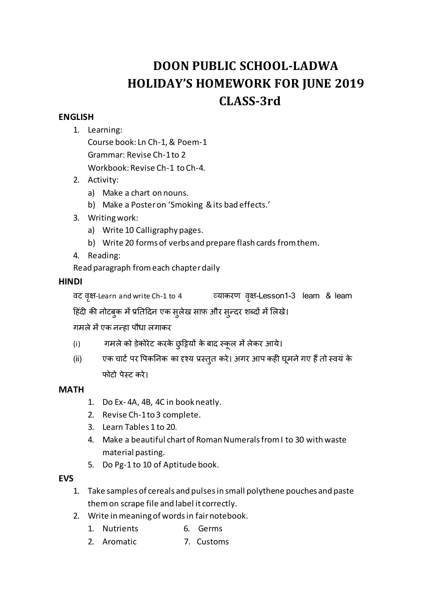# **DOON PUBLIC SCHOOL-LADWA HOLIDAY'S HOMEWORK FOR JUNE 2019 CLASS-3rd**

# **ENGLISH**

1. Learning:

Course book: Ln Ch-1, & Poem-1 Grammar: Revise Ch-1 to 2 Workbook: Revise Ch-1 to Ch-4.

- 2. Activity:
	- a) Make a chart on nouns.
	- b) Make a Poster on 'Smoking & its bad effects.'
- 3. Writing work:
	- a) Write 10 Calligraphy pages.
	- b) Write 20 forms of verbs and prepare flash cards from them.
- 4. Reading:
- Read paragraph from each chapter daily

## **HINDI**

वट वृक्ष-Learn and write Ch-1 to 4 व्याकरण वृक्ष-Lesson1-3 learn & learn

हिंदी की नोटबुक में प्रतिदिन एक सुलेख साफ़ और सुन्दर शब्दों में लिखे।

गमले में एक नन्हा पौधा लगाकर

- (i) गमले को डेकोरेट करके छुट्टियों के बाद स्कूल में लेकर आये।
- (ii) एक चार्ट पर पिकनिक का दृश्य प्रस्तुत करे। अगर आप कही घूमने गए हैं तो स्वयं के फोटो पेस्ट करे।

## **MATH**

- 1. Do Ex- 4A, 4B, 4C in book neatly.
- 2. Revise Ch-1 to 3 complete.
- 3. Learn Tables 1 to 20.
- 4. Make a beautiful chart of Roman Numerals from I to 30 with waste material pasting.
- 5. Do Pg-1 to 10 of Aptitude book.

#### **EVS**

- 1. Take samples of cereals and pulses in small polythene pouches and paste them on scrape file and label it correctly.
- 2. Write in meaning of words in fair notebook.
	- 1. Nutrients 6. Germs
	- 2. Aromatic 7. Customs